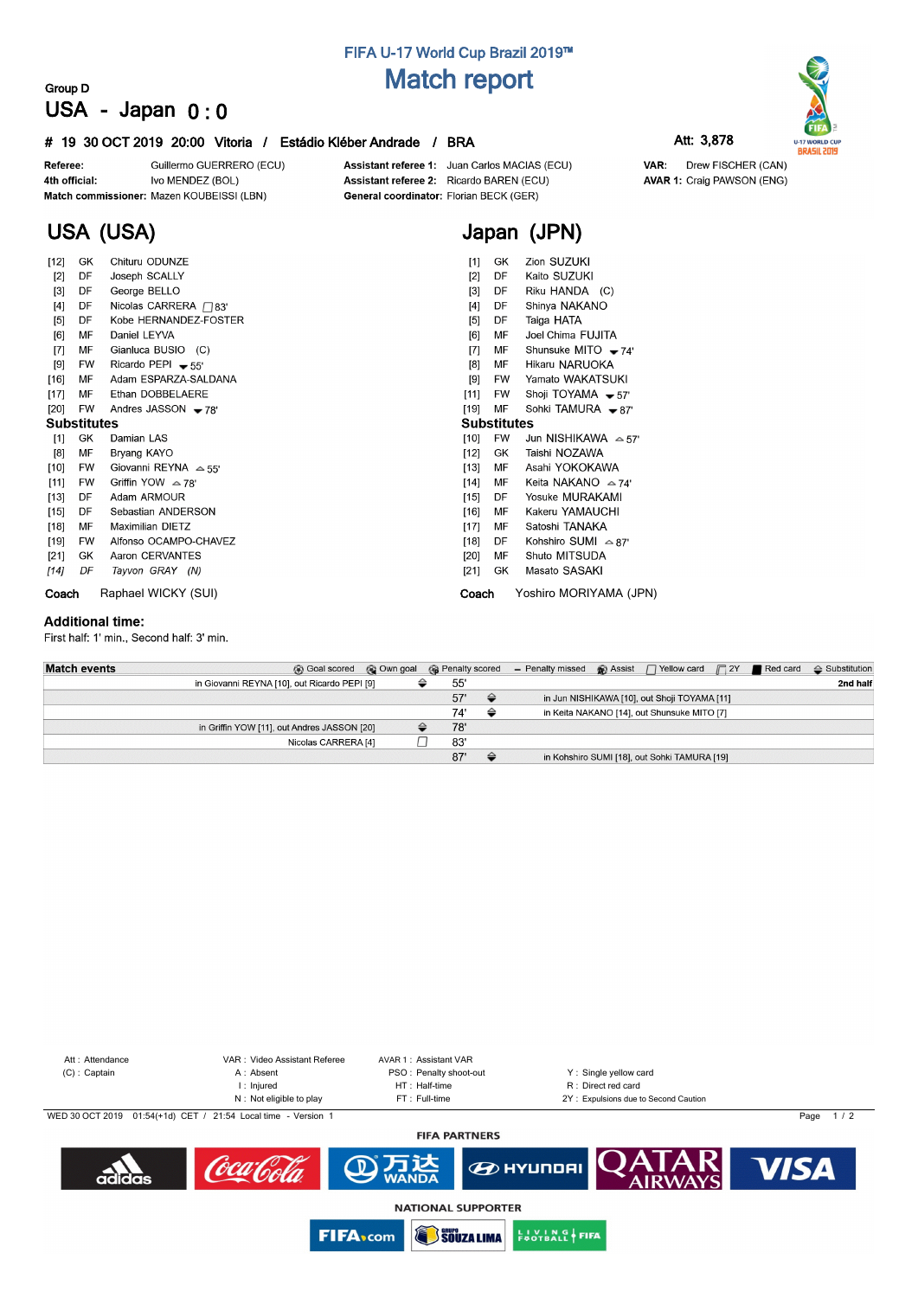## **FIFA U-17 World Cup Brazil 2019™ Match report**

## **Group D USA - Japan 0 : 0**

### **# 19 30 OCT 2019 20:00 Vitoria / Estádio Kléber Andrade / BRA Att: 3,878**

Guillermo GUERRERO (ECU) Referee: Ivo MENDEZ (BOL) 4th official: Match commissioner: Mazen KOUBEISSI (LBN)

Assistant referee 1: Juan Carlos MACIAS (ECU) Assistant referee 2: Ricardo BAREN (ECU) General coordinator: Florian BECK (GER)

**Japan (JPN)**



**U-17 WORLD CUP**<br>**BRASIL 2019** VAR: Drew FISCHER (CAN) **AVAR 1: Craig PAWSON (ENG)** 

# **USA (USA)**

| $[12]$             | GK        | Chituru ODUNZE               | $[1]$              | GK.                 | Zion SUZUKI                 |  |  |  |  |
|--------------------|-----------|------------------------------|--------------------|---------------------|-----------------------------|--|--|--|--|
| $[2]$              | DF        | Joseph SCALLY                | $[2]$              | DF                  | Kaito SUZUKI                |  |  |  |  |
| $[3]$              | DF        | George BELLO                 | $[3]$              | DF                  | Riku HANDA (C)              |  |  |  |  |
| [4]                | DF        | Nicolas CARRERA $\Box$ 83'   | [4]                | Shinya NAKANO<br>DF |                             |  |  |  |  |
| [5]                | DF        | Kobe HERNANDEZ-FOSTER        | [5]                | DF                  | Taiga HATA                  |  |  |  |  |
| [6]                | МF        | Daniel LEYVA                 | [6]                | МF                  | Joel Chima FUJITA           |  |  |  |  |
| $[7]$              | MF        | Gianluca BUSIO (C)           | [7]                | MF                  | Shunsuke MITO $-74'$        |  |  |  |  |
| [9]                | FW        | Ricardo PEPI $-55'$          | [8]                | МF                  | Hikaru NARUOKA              |  |  |  |  |
| $[16]$             | MF        | Adam ESPARZA-SALDANA         | [9]                | FW                  | Yamato WAKATSUKI            |  |  |  |  |
| $[17]$             | МF        | Ethan DOBBELAERE             | [11]               | <b>FW</b>           | Shoji TOYAMA $-57'$         |  |  |  |  |
| $[20]$             | <b>FW</b> | Andres JASSON $-78'$         | $[19]$             | MF                  | Sohki TAMURA - 87'          |  |  |  |  |
| <b>Substitutes</b> |           |                              | <b>Substitutes</b> |                     |                             |  |  |  |  |
| $[1]$              | GK        | Damian LAS                   | $[10]$             | <b>FW</b>           | Jun NISHIKAWA $\approx$ 57' |  |  |  |  |
| [8]                | MF        | Bryang KAYO                  | [12]               | GK.                 | Taishi NOZAWA               |  |  |  |  |
| $[10]$             | FW        | Giovanni REYNA $\approx$ 55' | $[13]$             | МF                  | Asahi YOKOKAWA              |  |  |  |  |
| $[11]$             | <b>FW</b> | Griffin YOW $\approx$ 78'    | $[14]$             | МF                  | Keita NAKANO $\approx$ 74'  |  |  |  |  |
| [13]               | DF        | Adam ARMOUR                  | [15]               | DF                  | Yosuke MURAKAMI             |  |  |  |  |
| $[15]$             | DF        | Sebastian ANDERSON           | $[16]$             | MF                  | Kakeru YAMAUCHI             |  |  |  |  |
| $[18]$             | МF        | <b>Maximilian DIETZ</b>      | $[17]$             | МF                  | Satoshi TANAKA              |  |  |  |  |
| $[19]$             | FW        | Alfonso OCAMPO-CHAVEZ        | $[18]$             | DF                  | Kohshiro SUMI $\approx 87'$ |  |  |  |  |
| $[21]$             | GK        | Aaron CERVANTES              | [20]               | МF                  | Shuto MITSUDA               |  |  |  |  |
| [14]               | DF        | Tayvon GRAY (N)              | $[21]$             | GK                  | Masato SASAKI               |  |  |  |  |
| Coach              |           | Raphael WICKY (SUI)          | Coach              |                     | Yoshiro MORIYAMA (JPN)      |  |  |  |  |

#### **Additional time:**

First half: 1' min., Second half: 3' min.

| <b>Match events</b> | Goal scored @ Own goal                       |     |               | <b>G</b> Penalty scored – Penalty missed <b>G</b> Assist $\Box$ Yellow card $\Box$ 2Y <b>P</b> Red card |  |                                              |  | $\triangle$ Substitution |
|---------------------|----------------------------------------------|-----|---------------|---------------------------------------------------------------------------------------------------------|--|----------------------------------------------|--|--------------------------|
|                     | in Giovanni REYNA [10], out Ricardo PEPI [9] | 55' |               |                                                                                                         |  |                                              |  | 2nd half                 |
|                     |                                              | 57' | $\Rightarrow$ | in Jun NISHIKAWA [10], out Shoji TOYAMA [11]                                                            |  |                                              |  |                          |
|                     |                                              | 74' | ⇔             |                                                                                                         |  | in Keita NAKANO [14], out Shunsuke MITO [7]  |  |                          |
|                     | in Griffin YOW [11], out Andres JASSON [20]  | 78' |               |                                                                                                         |  |                                              |  |                          |
|                     | Nicolas CARRERA [4]                          | 83' |               |                                                                                                         |  |                                              |  |                          |
|                     |                                              | 87' | ≙             |                                                                                                         |  | in Kohshiro SUMI [18], out Sohki TAMURA [19] |  |                          |